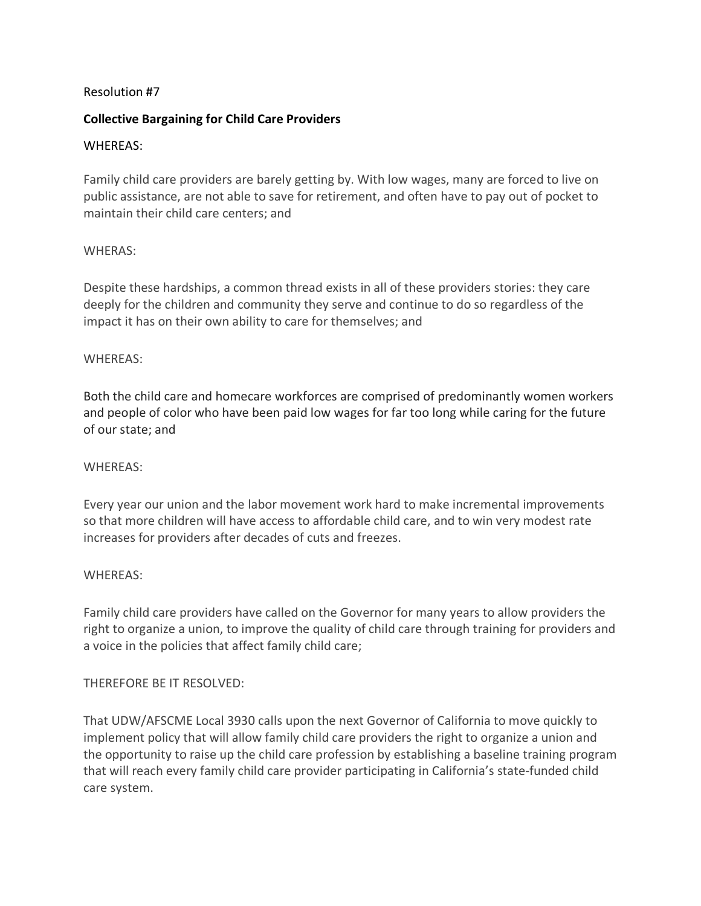# Resolution #7

### **Collective Bargaining for Child Care Providers**

### WHEREAS:

Family child care providers are barely getting by. With low wages, many are forced to live on public assistance, are not able to save for retirement, and often have to pay out of pocket to maintain their child care centers; and

### WHERAS:

Despite these hardships, a common thread exists in all of these providers stories: they care deeply for the children and community they serve and continue to do so regardless of the impact it has on their own ability to care for themselves; and

### WHEREAS:

Both the child care and homecare workforces are comprised of predominantly women workers and people of color who have been paid low wages for far too long while caring for the future of our state; and

#### WHEREAS:

Every year our union and the labor movement work hard to make incremental improvements so that more children will have access to affordable child care, and to win very modest rate increases for providers after decades of cuts and freezes.

# WHEREAS:

Family child care providers have called on the Governor for many years to allow providers the right to organize a union, to improve the quality of child care through training for providers and a voice in the policies that affect family child care;

# THEREFORE BE IT RESOLVED:

That UDW/AFSCME Local 3930 calls upon the next Governor of California to move quickly to implement policy that will allow family child care providers the right to organize a union and the opportunity to raise up the child care profession by establishing a baseline training program that will reach every family child care provider participating in California's state-funded child care system.